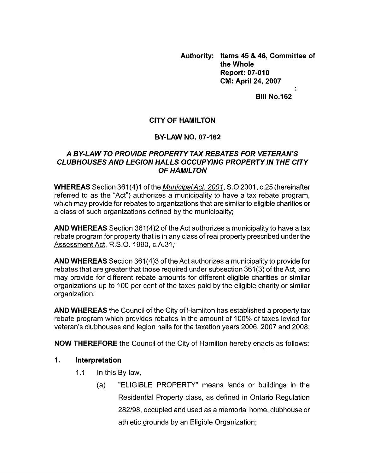**Authority: Items 45** & **46, Committee of the Whole Report: 07-010 CM: April 24,2007** 

**Bill No.162** 

# **CITY OF HAMILTON**

# **BY-LAW NO. 07-162**

# *A BY-LAW TO PROVIDE PROPERTY TAX REBATES FOR VETERAN'S CLUBHOUSES AND LEGION HALLS OCCUPYING PROPERTY IN THE CITY OF HAMILTON*

**WHEREAS** Section 361 (4)l of the *MunicipalAct, 2001,* S.0 2001, c.25 (hereinafter referred to as the "Act") authorizes a municipality to have a tax rebate program, which may provide for rebates to organizations that are similar to eligible charities or a class of such organizations defined by the municipality;

**AND WHEREAS** Section 361(4)2 of the Act authorizes a municipality to have a tax rebate program for property that is in any class of real property prescribed under the Assessment Act, R.S.O. 1990, c.A.31;

**AND WHEREAS** Section 361(4)3 of the Act authorizes a municipality to provide for rebates that are greater that those required under subsection 361(3) of the Act, and may provide for different rebate amounts for different eligible charities or similar organizations up to 100 per cent of the taxes paid by the eligible charity or similar organization;

**AND WHEREAS** the Council of the City of Hamilton has established a property tax rebate program which provides rebates in the amount of 100% of taxes levied for veteran's clubhouses and legion halls for the taxation years 2006, 2007 and 2008;

**NOW THEREFORE** the Council of the City of Hamilton hereby enacts as follows:

### **1. Interpretation**

- 1.1 In this By-law,
	- (a) "ELIGIBLE PROPERTY" means lands or buildings in the Residential Property class, as defined in Ontario Regulation 282/98, occupied and used as a memorial home, clubhouse or athletic grounds by an Eligible Organization;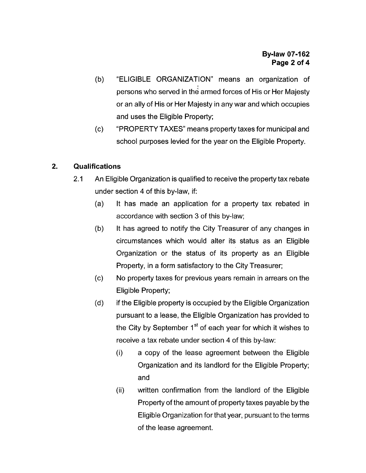- (b) "ELIGIBLE ORGANIZATION" means an organization of persons who served in the armed forces of His or Her Majesty or an ally of His or Her Majesty in any war and which occupies and uses the Eligible Property;
- "PROPERTY TAXES" means property taxes for municipal and school purposes levied for the year on the Eligible Property.  $(c)$

#### $2.$ **Qualifications**

- 2.1 An Eligible Organization is qualified to receive the property tax rebate under section **4** of this by-law, if:
	- (a) It has made an application for a property tax rebated in accordance with section 3 of this by-law;
	- It has agreed to notify the City Treasurer of any changes in circumstances which would alter its status as an Eligible (b) Organization or the status *of* its property as an Eligible Property, in a form satisfactory to the City Treasurer;
	- No property taxes for previous years remain in arrears on the Eligible Property; (c)
	- if the Eligible property is occupied by the Eligible Organization pursuant to a lease, the Eligible Organization has provided to the City by September 1<sup>st</sup> of each year for which it wishes to receive a tax rebate under section **4** of this by-law: (d)
		- (i) a copy of the lease agreement between the Eligible Organization and its landlord for the Eligible Property; and
		- written confirmation from the landlord of the Eligible Property of the amount of property taxes payable by the Eligible Organization for that year, pursuant to the terms of the lease agreement. (ii)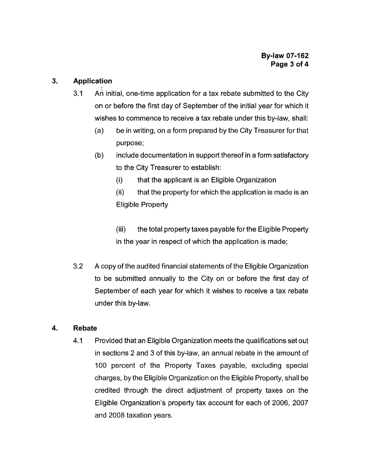# **3. Application**

- 3.1 **An** initial, one-time application for a tax rebate submitted to the City on or before the first day of September of the initial year for which it wishes to commence to receive a tax rebate under this by-law, shall:
	- (a) be in writing, on a form prepared by the City Treasurer for that purpose;
	- include documentation in support thereof in a form satisfactory to the City Treasurer to establish: (b)
		- (i) that the applicant is an Eligible Organization
		- (ii) Eligible Property that the property for which the application is made is an

(iii) in the year in respect of which the application is made; the total property taxes payable for the Eligible Property

3.2 **A** copy of the audited financial statements of the Eligible Organization to be submitted annually to the City on or before the first day of September of each year for which it wishes to receive a tax rebate under this by-law.

# **4. Re bate**

4.1 Provided that an Eligible Organization meets the qualifications set out in sections 2 and 3 of this by-law, an annual rebate in the amount of 100 percent of the Property Taxes payable, excluding special charges, by the Eligible Organization on the Eligible Property, shall be credited through the direct adjustment of property taxes on the Eligible Organization's property tax account for each of 2006, 2007 and 2008 taxation years.